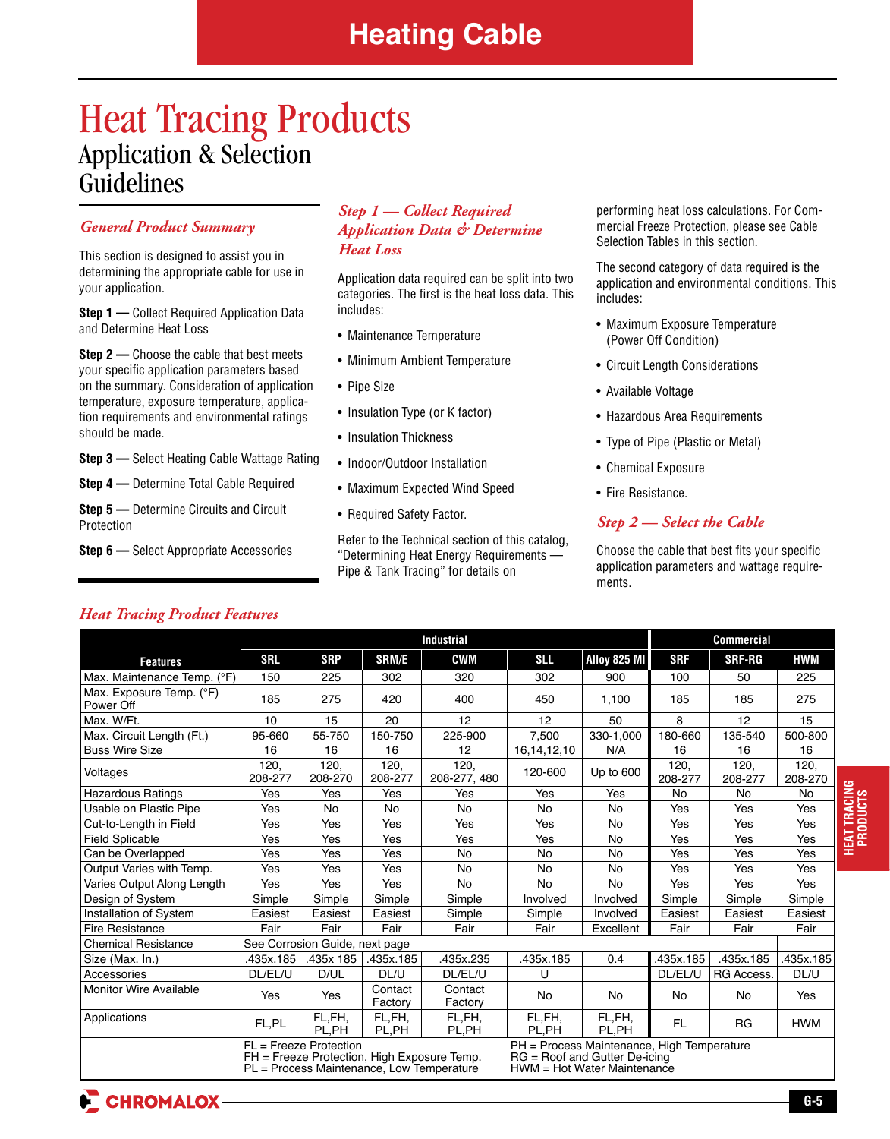## Heat Tracing Products Application & Selection Guidelines

## *General Product Summary*

This section is designed to assist you in determining the appropriate cable for use in your application.

**Step 1** — Collect Required Application Data and Determine Heat Loss

**Step 2** — Choose the cable that best meets your specific application parameters based on the summary. Consideration of application temperature, exposure temperature, application requirements and environmental ratings should be made.

**Step 3 —** Select Heating Cable Wattage Rating

**Step 4 —** Determine Total Cable Required

**Step 5 —** Determine Circuits and Circuit Protection

**Step 6 —** Select Appropriate Accessories

## *Step 1 — Collect Required Application Data & Determine Heat Loss*

Application data required can be split into two categories. The first is the heat loss data. This includes:

- Maintenance Temperature
- Minimum Ambient Temperature
- Pipe Size
- Insulation Type (or K factor)
- Insulation Thickness
- Indoor/Outdoor Installation
- Maximum Expected Wind Speed
- Required Safety Factor.

Refer to the Technical section of this catalog, "Determining Heat Energy Requirements — Pipe & Tank Tracing" for details on

performing heat loss calculations. For Commercial Freeze Protection, please see Cable Selection Tables in this section.

The second category of data required is the application and environmental conditions. This includes:

- Maximum Exposure Temperature (Power Off Condition)
- Circuit Length Considerations
- Available Voltage
- Hazardous Area Requirements
- Type of Pipe (Plastic or Metal)
- Chemical Exposure
- Fire Resistance.

## *Step 2 — Select the Cable*

Choose the cable that best fits your specific application parameters and wattage requirements.

## *Heat Tracing Product Features*

|                                       |                                                                   |                                                                                                                      | <b>Commercial</b>  |                      |                                                                                                                |                     |                 |                   |                 |
|---------------------------------------|-------------------------------------------------------------------|----------------------------------------------------------------------------------------------------------------------|--------------------|----------------------|----------------------------------------------------------------------------------------------------------------|---------------------|-----------------|-------------------|-----------------|
| <b>Features</b>                       | <b>SRL</b>                                                        | <b>SRP</b>                                                                                                           | SRM/E              | <b>CWM</b>           | <b>SLL</b>                                                                                                     | <b>Alloy 825 MI</b> | <b>SRF</b>      | <b>SRF-RG</b>     | <b>HWM</b>      |
| Max. Maintenance Temp. (°F)           | 150                                                               | 225                                                                                                                  | 302                | 320                  | 302                                                                                                            | 900                 | 100             | 50                | 225             |
| Max. Exposure Temp. (°F)<br>Power Off | 185                                                               | 275                                                                                                                  | 420                | 400                  | 450                                                                                                            | 1.100               | 185             | 185               | 275             |
| Max. W/Ft.                            | 10                                                                | 15                                                                                                                   | 20                 | 12                   | 12                                                                                                             | 50                  | 8               | 12                | 15              |
| Max. Circuit Length (Ft.)             | 95-660                                                            | 55-750                                                                                                               | 150-750            | 225-900              | 7.500                                                                                                          | 330-1,000           | 180-660         | 135-540           | 500-800         |
| <b>Buss Wire Size</b>                 | 16                                                                | 16                                                                                                                   | 16                 | 12                   | 16, 14, 12, 10                                                                                                 | N/A                 | 16              | 16                | 16              |
| Voltages                              | 120,<br>208-277                                                   | 120,<br>208-270                                                                                                      | 120,<br>208-277    | 120,<br>208-277, 480 | 120-600                                                                                                        | Up to 600           | 120,<br>208-277 | 120,<br>208-277   | 120,<br>208-270 |
| Hazardous Ratings                     | Yes                                                               | Yes                                                                                                                  | Yes                | Yes                  | Yes                                                                                                            | Yes                 | No              | <b>No</b>         | No              |
| Usable on Plastic Pipe                | Yes                                                               | <b>No</b>                                                                                                            | <b>No</b>          | <b>No</b>            | No                                                                                                             | <b>No</b>           | Yes             | Yes               | Yes             |
| Cut-to-Length in Field                | Yes                                                               | Yes                                                                                                                  | Yes                | Yes                  | Yes<br><b>No</b>                                                                                               |                     | Yes             | Yes               | Yes             |
| Field Splicable                       | Yes                                                               | Yes                                                                                                                  | Yes                | Yes                  | Yes                                                                                                            | <b>No</b>           | Yes             | Yes               | Yes             |
| Can be Overlapped                     | Yes                                                               | Yes                                                                                                                  | Yes                | No                   | <b>No</b>                                                                                                      | No                  | Yes             | Yes               | Yes             |
| Output Varies with Temp.              | Yes                                                               | Yes                                                                                                                  | Yes                | No                   | No<br>No                                                                                                       |                     | Yes             | Yes               | Yes             |
| Varies Output Along Length            | Yes                                                               | Yes<br>Yes<br>No                                                                                                     |                    | <b>No</b>            | <b>No</b>                                                                                                      | Yes                 | Yes             | Yes               |                 |
| Design of System                      | Simple                                                            | Simple                                                                                                               | Simple             | Simple               | Involved                                                                                                       | Involved            | Simple          | Simple            | Simple          |
| Installation of System                | Easiest                                                           | Easiest                                                                                                              | Easiest            | Simple               | Simple                                                                                                         | Involved            | Easiest         | Easiest           | Easiest         |
| Fire Resistance                       | Fair<br>Fair<br>Fair<br>Fair<br>Fair<br>Fair<br>Excellent<br>Fair |                                                                                                                      |                    |                      |                                                                                                                |                     |                 | Fair              |                 |
| <b>Chemical Resistance</b>            |                                                                   | See Corrosion Guide, next page                                                                                       |                    |                      |                                                                                                                |                     |                 |                   |                 |
| Size (Max. In.)                       | .435x.185                                                         | .435x 185                                                                                                            | .435x.185          | 435x.235             | 435x.185                                                                                                       | 0.4                 | 435x.185        | .435x.185         | 435x.185        |
| Accessories                           | DL/EL/U                                                           | D/UL                                                                                                                 | DL/U               | DL/EL/U              | U                                                                                                              |                     | DL/EL/U         | <b>RG Access.</b> | DL/U            |
| Monitor Wire Available                | Yes                                                               | Yes                                                                                                                  | Contact<br>Factory | Contact<br>Factory   | No                                                                                                             | No                  | No              | No                | Yes             |
| <b>Applications</b>                   | FL,PL                                                             | FL,FH,<br>PL.PH                                                                                                      | FL,FH,<br>PL,PH    | FL,FH,<br>PL,PH      | FL,FH,<br>PL,PH                                                                                                | FL,FH,<br>PL.PH     | <b>FL</b>       | <b>RG</b>         | <b>HWM</b>      |
|                                       |                                                                   | $FL = Freeze Protection$<br>FH = Freeze Protection, High Exposure Temp.<br>PL = Process Maintenance, Low Temperature |                    |                      | PH = Process Maintenance, High Temperature<br>$RG = Root$ and Gutter $De-icing$<br>HWM = Hot Water Maintenance |                     |                 |                   |                 |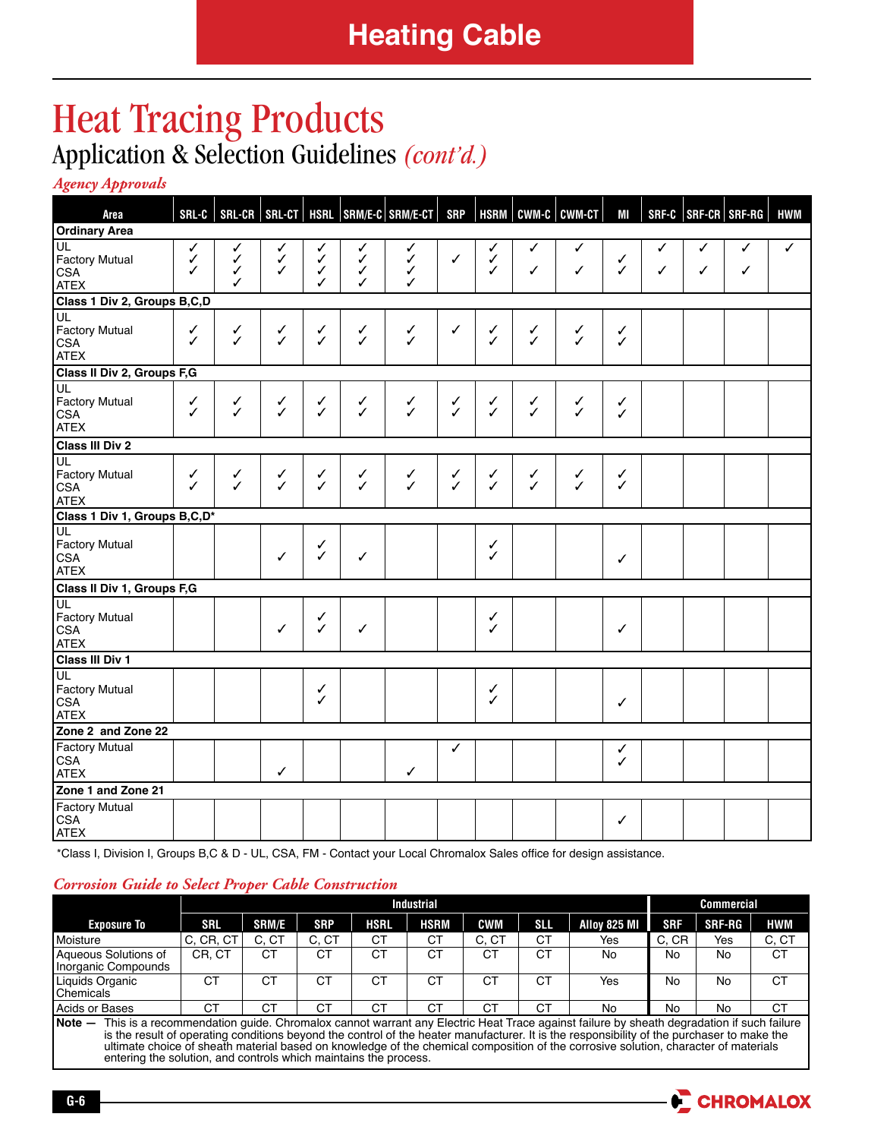# Heat Tracing Products Application & Selection Guidelines *(cont'd.)*

*Agency Approvals* 

| Area                                                     | $SRL-C$                |                   |                        |                             |                   | SRL-CR   SRL-CT   HSRL   SRM/E-C   SRM/E-CT | <b>SRP</b>   | <b>HSRM</b>       | CWM-C        | <b>CWM-CT</b> | MI           |        |        | SRF-C   SRF-CR   SRF-RG | <b>HWM</b> |
|----------------------------------------------------------|------------------------|-------------------|------------------------|-----------------------------|-------------------|---------------------------------------------|--------------|-------------------|--------------|---------------|--------------|--------|--------|-------------------------|------------|
| <b>Ordinary Area</b>                                     |                        |                   |                        |                             |                   |                                             |              |                   |              |               |              |        |        |                         |            |
| UL<br><b>Factory Mutual</b><br><b>CSA</b><br><b>ATEX</b> | ✓<br>$\checkmark$<br>✓ | ✓<br>✓<br>✓<br>✓  | ✓<br>$\checkmark$<br>✓ | √<br>$\checkmark$<br>✓<br>✓ | ✓<br>✓<br>✓<br>✓  | $\checkmark$<br>$\checkmark$<br>✓<br>✓      | ✓            | ✓<br>✓<br>✓       | ✓<br>✓       | ✓<br>✓        | ✓<br>✓       | ✓<br>✓ | ✓<br>✓ | ✓<br>✓                  | ✓          |
| Class 1 Div 2, Groups B,C,D                              |                        |                   |                        |                             |                   |                                             |              |                   |              |               |              |        |        |                         |            |
| UL<br><b>Factory Mutual</b><br><b>CSA</b><br><b>ATEX</b> | $\checkmark$           | $\checkmark$      | ✓<br>$\checkmark$      | $\checkmark$                | $\checkmark$      | $\checkmark$                                | ✓            | $\checkmark$      | $\checkmark$ | $\checkmark$  | $\checkmark$ |        |        |                         |            |
| Class II Div 2, Groups F, G                              |                        |                   |                        |                             |                   |                                             |              |                   |              |               |              |        |        |                         |            |
| UL<br><b>Factory Mutual</b><br><b>CSA</b><br><b>ATEX</b> | ✓<br>✓                 | $\checkmark$<br>✓ | $\checkmark$           | ✓<br>$\checkmark$           | $\checkmark$      | $\checkmark$                                | ✓<br>✓       | ✓<br>$\checkmark$ | $\checkmark$ | ✓<br>✓        | ✓<br>✓       |        |        |                         |            |
| Class III Div 2                                          |                        |                   |                        |                             |                   |                                             |              |                   |              |               |              |        |        |                         |            |
| UL<br>Factory Mutual<br><b>CSA</b><br><b>ATEX</b>        | ✓<br>✓                 | ✓<br>J            | ✓<br>$\checkmark$      | ✓<br>✓                      | ✓<br>$\checkmark$ | ✓<br>$\mathcal{L}$                          | ✓<br>✓       | ✓<br>$\checkmark$ | ✓<br>✓       | ✓<br>✓        | ✓<br>✓       |        |        |                         |            |
| Class 1 Div 1, Groups B,C,D*                             |                        |                   |                        |                             |                   |                                             |              |                   |              |               |              |        |        |                         |            |
| UL<br><b>Factory Mutual</b><br><b>CSA</b><br><b>ATEX</b> |                        |                   | ✓                      | ✓<br>✓                      | $\checkmark$      |                                             |              | ✓<br>✓            |              |               | ✓            |        |        |                         |            |
| Class II Div 1, Groups F,G                               |                        |                   |                        |                             |                   |                                             |              |                   |              |               |              |        |        |                         |            |
| UL<br><b>Factory Mutual</b><br><b>CSA</b><br><b>ATEX</b> |                        |                   | ✓                      | ✓<br>✓                      | $\checkmark$      |                                             |              | ✓<br>✓            |              |               | ✓            |        |        |                         |            |
| Class III Div 1                                          |                        |                   |                        |                             |                   |                                             |              |                   |              |               |              |        |        |                         |            |
| UL<br><b>Factory Mutual</b><br><b>CSA</b><br><b>ATEX</b> |                        |                   |                        | ✓<br>✓                      |                   |                                             |              | ✓<br>✓            |              |               | $\checkmark$ |        |        |                         |            |
| Zone 2 and Zone 22                                       |                        |                   |                        |                             |                   |                                             |              |                   |              |               |              |        |        |                         |            |
| <b>Factory Mutual</b><br><b>CSA</b><br><b>ATEX</b>       |                        |                   | ✓                      |                             |                   | ✓                                           | $\checkmark$ |                   |              |               | ✓<br>✓       |        |        |                         |            |
| Zone 1 and Zone 21                                       |                        |                   |                        |                             |                   |                                             |              |                   |              |               |              |        |        |                         |            |
| <b>Factory Mutual</b><br><b>CSA</b><br><b>ATEX</b>       |                        |                   |                        |                             |                   |                                             |              |                   |              |               | ✓            |        |        |                         |            |

 \*Class I, Division I, Groups B,C & D - UL, CSA, FM - Contact your Local Chromalox Sales office for design assistance.

### *Corrosion Guide to Select Proper Cable Construction*

|                                                                                                                                                    |            |              |            | Commercial |             |            |            |              |            |        |           |
|----------------------------------------------------------------------------------------------------------------------------------------------------|------------|--------------|------------|------------|-------------|------------|------------|--------------|------------|--------|-----------|
| <b>Exposure To</b>                                                                                                                                 | <b>SRL</b> | <b>SRM/E</b> | <b>SRP</b> | HSRL       | <b>HSRM</b> | <b>CWM</b> | <b>SII</b> | Alloy 825 MI | <b>SRF</b> | SRF-RG | HWM       |
| Moisture                                                                                                                                           | C, CR, CT  | C. CT        | C, CT      | СT         | СT          | C, CT      | <b>CT</b>  | Yes          | C, CR      | Yes    | C, CT     |
| Aqueous Solutions of<br>Inorganic Compounds                                                                                                        | CR. CT     | СT           | СT         | СT         | СT          | СT         | CT         | No           | No         | No     | <b>CT</b> |
| Liquids Organic<br>Chemicals                                                                                                                       | CT         | CT           | СT         | СT         | СT          | CТ         | <b>CT</b>  | Yes          | No         | No     | <b>CT</b> |
| Acids or Bases                                                                                                                                     | CT         | СT           | СT         | СT         | СT          | CT         | <b>CT</b>  | No           | No         | No     | <b>CT</b> |
| $Note -$<br>This is a recommendation guide. Chromalox cannot warrant any Electric Heat Trace against failure by sheath degradation if such failure |            |              |            |            |             |            |            |              |            |        |           |

is the result of operating conditions beyond the control of the heater manufacturer. It is the responsibility of the purchaser to make the ultimate choice of sheath material based on knowledge of the chemical composition of the corrosive solution, character of materials entering the solution, and controls which maintains the process.

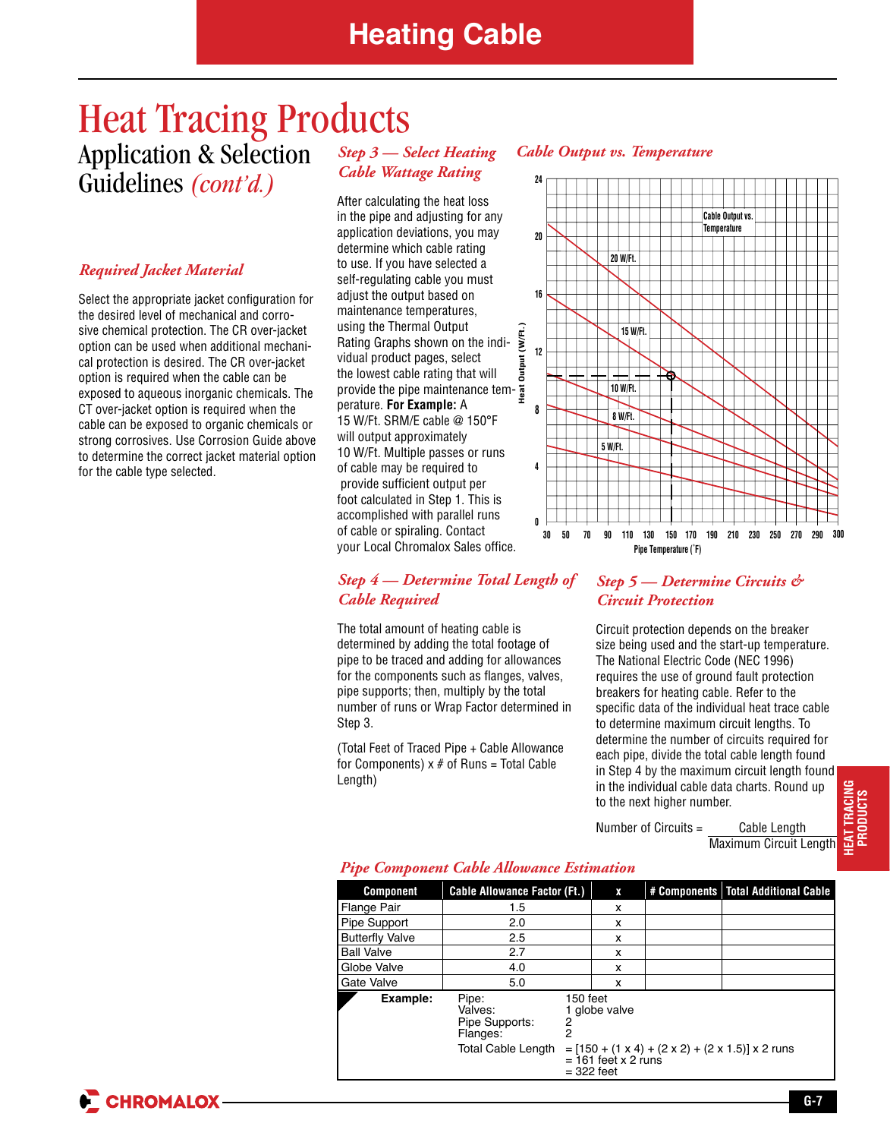## Heat Tracing Products Application & Selection Guidelines *(cont'd.)*

### *Required Jacket Material*

Select the appropriate jacket configuration for the desired level of mechanical and corrosive chemical protection. The CR over-jacket option can be used when additional mechanical protection is desired. The CR over-jacket option is required when the cable can be exposed to aqueous inorganic chemicals. The CT over-jacket option is required when the cable can be exposed to organic chemicals or strong corrosives. Use Corrosion Guide above to determine the correct jacket material option for the cable type selected.

## *Step 3 — Select Heating Cable Wattage Rating*

After calculating the heat loss in the pipe and adjusting for any application deviations, you may determine which cable rating to use. If you have selected a self-regulating cable you must adjust the output based on maintenance temperatures, using the Thermal Output Rating Graphs shown on the individual product pages, select the lowest cable rating that will provide the pipe maintenance temperature. **For Example:** A 15 W/Ft. SRM/E cable @ 150°F will output approximately 10 W/Ft. Multiple passes or runs of cable may be required to provide sufficient output per foot calculated in Step 1. This is accomplished with parallel runs of cable or spiraling. Contact your Local Chromalox Sales office.

### *Cable Output vs. Temperature*



### *Step 4 — Determine Total Length of Cable Required*

The total amount of heating cable is determined by adding the total footage of pipe to be traced and adding for allowances for the components such as flanges, valves, pipe supports; then, multiply by the total number of runs or Wrap Factor determined in Step 3.

(Total Feet of Traced Pipe + Cable Allowance for Components)  $x \neq 0$  Runs = Total Cable Length)

## *Step 5 — Determine Circuits & Circuit Protection*

Circuit protection depends on the breaker size being used and the start-up temperature. The National Electric Code (NEC 1996) requires the use of ground fault protection breakers for heating cable. Refer to the specific data of the individual heat trace cable to determine maximum circuit lengths. To determine the number of circuits required for each pipe, divide the total cable length found in Step 4 by the maximum circuit length found in the individual cable data charts. Round up to the next higher number.

Number of Circuits = Cable Length Maximum Circuit Length **HEAT TRACING PRODUCTS PRODUCTS**

## *Pipe Component Cable Allowance Estimation*

| <b>Component</b>       | <b>Cable Allowance Factor (Ft.)</b>            |                                                                                             | X             |  | # Components   Total Additional Cable |  |  |  |
|------------------------|------------------------------------------------|---------------------------------------------------------------------------------------------|---------------|--|---------------------------------------|--|--|--|
| Flange Pair            | 1.5                                            |                                                                                             | x             |  |                                       |  |  |  |
| Pipe Support           | 2.0                                            |                                                                                             | x             |  |                                       |  |  |  |
| <b>Butterfly Valve</b> | 2.5                                            |                                                                                             | x             |  |                                       |  |  |  |
| <b>Ball Valve</b>      | 2.7                                            |                                                                                             | x             |  |                                       |  |  |  |
| Globe Valve            | 4.0                                            |                                                                                             | x             |  |                                       |  |  |  |
| Gate Valve             | 5.0                                            |                                                                                             | x             |  |                                       |  |  |  |
| Example:               | Pipe:<br>Valves:<br>Pipe Supports:<br>Flanges: | 150 feet<br>2<br>2                                                                          | 1 globe valve |  |                                       |  |  |  |
|                        | <b>Total Cable Length</b>                      | $=$ [150 + (1 x 4) + (2 x 2) + (2 x 1.5)] x 2 runs<br>$= 161$ feet x 2 runs<br>$=$ 322 feet |               |  |                                       |  |  |  |

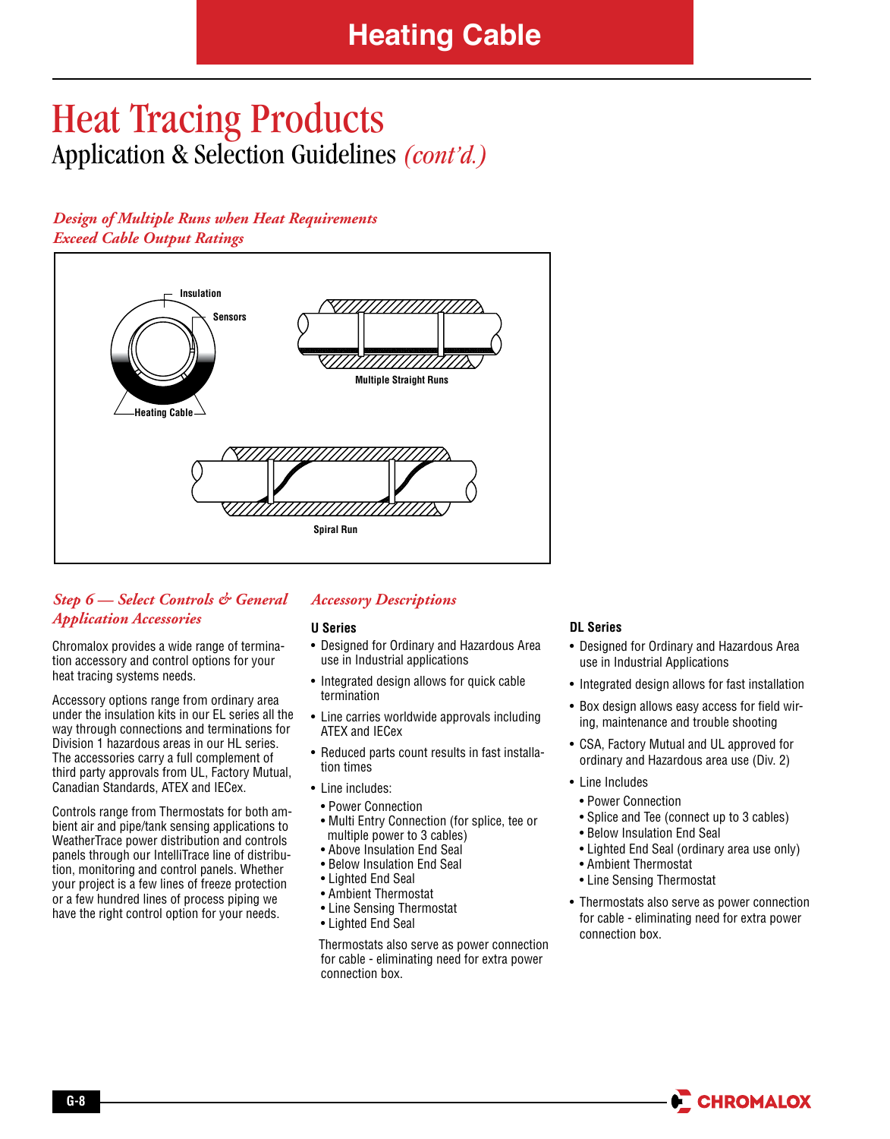# Heat Tracing Products Application & Selection Guidelines *(cont'd.)*

## *Design of Multiple Runs when Heat Requirements Exceed Cable Output Ratings*



## *Step 6 — Select Controls & General Application Accessories*

Chromalox provides a wide range of termination accessory and control options for your heat tracing systems needs.

Accessory options range from ordinary area under the insulation kits in our EL series all the way through connections and terminations for Division 1 hazardous areas in our HL series. The accessories carry a full complement of third party approvals from UL, Factory Mutual, Canadian Standards, ATEX and IECex.

Controls range from Thermostats for both ambient air and pipe/tank sensing applications to WeatherTrace power distribution and controls panels through our IntelliTrace line of distribution, monitoring and control panels. Whether your project is a few lines of freeze protection or a few hundred lines of process piping we have the right control option for your needs.

## *Accessory Descriptions*

### **U Series**

- Designed for Ordinary and Hazardous Area use in Industrial applications
- Integrated design allows for quick cable termination
- Line carries worldwide approvals including ATEX and IECex
- Reduced parts count results in fast installation times
- Line includes:
- Power Connection
- Multi Entry Connection (for splice, tee or multiple power to 3 cables)
- Above Insulation End Seal
- Below Insulation End Seal
- Lighted End Seal
- Ambient Thermostat
- Line Sensing Thermostat
- Lighted End Seal

Thermostats also serve as power connection for cable - eliminating need for extra power connection box.

### **DL Series**

- Designed for Ordinary and Hazardous Area use in Industrial Applications
- Integrated design allows for fast installation
- Box design allows easy access for field wiring, maintenance and trouble shooting
- CSA, Factory Mutual and UL approved for ordinary and Hazardous area use (Div. 2)

#### • Line Includes

- Power Connection
- Splice and Tee (connect up to 3 cables)
- Below Insulation End Seal
- Lighted End Seal (ordinary area use only)
- Ambient Thermostat
- Line Sensing Thermostat
- Thermostats also serve as power connection for cable - eliminating need for extra power connection box.